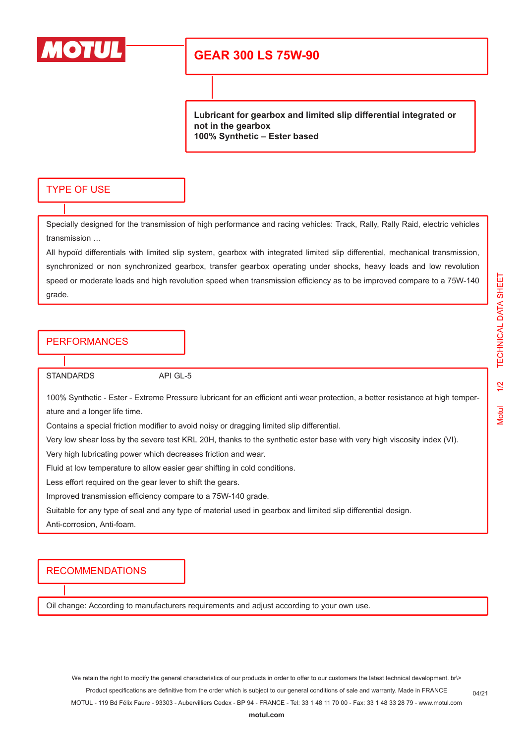

## **GEAR 300 LS 75W-90**

**Lubricant for gearbox and limited slip differential integrated or not in the gearbox 100% Synthetic – Ester based**

#### TYPE OF USE

Specially designed for the transmission of high performance and racing vehicles: Track, Rally, Rally Raid, electric vehicles transmission …

All hypoïd differentials with limited slip system, gearbox with integrated limited slip differential, mechanical transmission, synchronized or non synchronized gearbox, transfer gearbox operating under shocks, heavy loads and low revolution speed or moderate loads and high revolution speed when transmission efficiency as to be improved compare to a 75W-140 grade.

#### PERFORMANCES

STANDARDS API GL-5

100% Synthetic - Ester - Extreme Pressure lubricant for an efficient anti wear protection, a better resistance at high temperature and a longer life time.

Contains a special friction modifier to avoid noisy or dragging limited slip differential.

Very low shear loss by the severe test KRL 20H, thanks to the synthetic ester base with very high viscosity index (VI).

Very high lubricating power which decreases friction and wear.

Fluid at low temperature to allow easier gear shifting in cold conditions.

Less effort required on the gear lever to shift the gears.

Improved transmission efficiency compare to a 75W-140 grade.

Suitable for any type of seal and any type of material used in gearbox and limited slip differential design.

Anti-corrosion, Anti-foam.

#### RECOMMENDATIONS

Oil change: According to manufacturers requirements and adjust according to your own use.

04/21